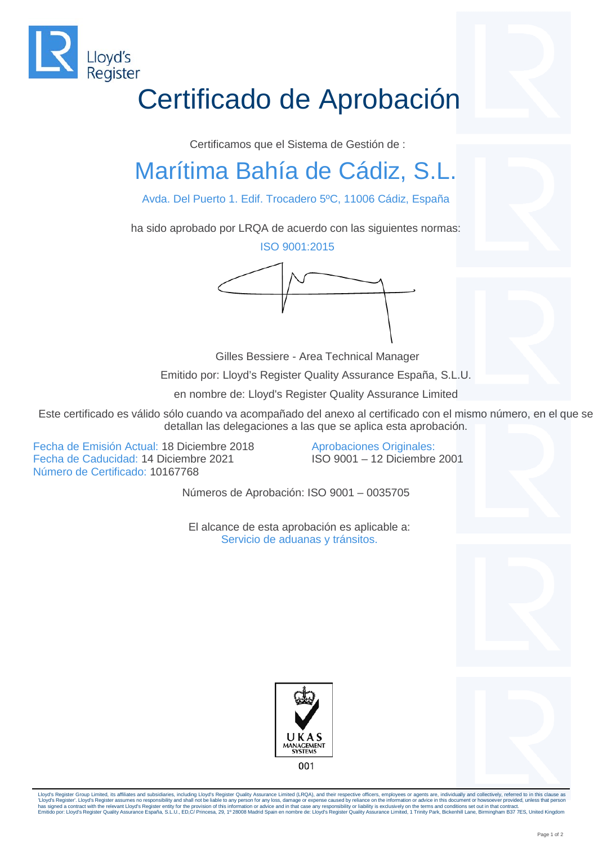

## Certificado de Aprobación

Certificamos que el Sistema de Gestión de :

## Marítima Bahía de Cádiz, S.L.

Avda. Del Puerto 1. Edif. Trocadero 5ºC, 11006 Cádiz, España

ha sido aprobado por LRQA de acuerdo con las siguientes normas:

ISO 9001:2015



Gilles Bessiere - Area Technical Manager

Emitido por: Lloyd's Register Quality Assurance España, S.L.U.

en nombre de: Lloyd's Register Quality Assurance Limited

Este certificado es válido sólo cuando va acompañado del anexo al certificado con el mismo número, en el que se detallan las delegaciones a las que se aplica esta aprobación.

Fecha de Emisión Actual: 18 Diciembre 2018 Fecha de Caducidad: 14 Diciembre 2021 Número de Certificado: 10167768

Aprobaciones Originales: ISO 9001 – 12 Diciembre 2001

Números de Aprobación: ISO 9001 – 0035705

El alcance de esta aprobación es aplicable a: Servicio de aduanas y tránsitos.





Lloyd's Register Group Limited, its affiliates and subsidiaries, including Lloyd's Register Quality Assurance Limited (LRQA), and their respective officers, employees or agents are, individually and collectively, referred